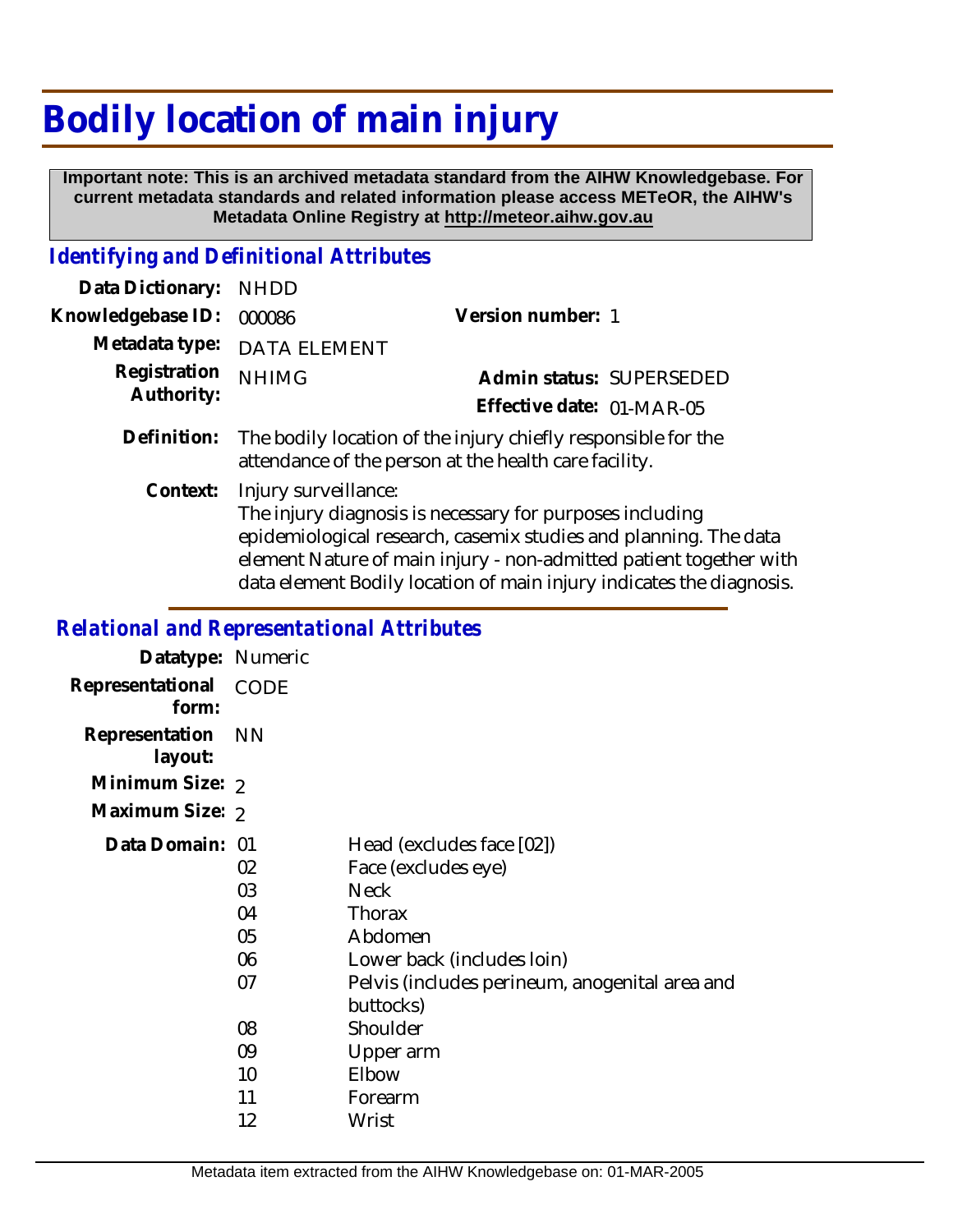## **Bodily location of main injury**

 **Important note: This is an archived metadata standard from the AIHW Knowledgebase. For current metadata standards and related information please access METeOR, the AIHW's Metadata Online Registry at http://meteor.aihw.gov.au**

## *Identifying and Definitional Attributes*

| Data Dictionary: NHDD |                                                                                                                        |                           |                          |
|-----------------------|------------------------------------------------------------------------------------------------------------------------|---------------------------|--------------------------|
| Knowledgebase ID:     | 000086                                                                                                                 | Version number: 1         |                          |
|                       | Metadata type: DATA ELEMENT                                                                                            |                           |                          |
| Registration          | <b>NHIMG</b>                                                                                                           |                           | Admin status: SUPERSEDED |
| Authority:            |                                                                                                                        | Effective date: 01-MAR-05 |                          |
| Definition:           | The bodily location of the injury chiefly responsible for the<br>attendance of the person at the health care facility. |                           |                          |
|                       | Context: Injury surveillance:                                                                                          |                           |                          |

Injury surveillance: The injury diagnosis is necessary for purposes including epidemiological research, casemix studies and planning. The data element Nature of main injury - non-admitted patient together with data element Bodily location of main injury indicates the diagnosis.

## *Relational and Representational Attributes*

| Datatype: Numeric         |                                  |                                                                                                                                                                                   |
|---------------------------|----------------------------------|-----------------------------------------------------------------------------------------------------------------------------------------------------------------------------------|
| Representational<br>form: | CODE                             |                                                                                                                                                                                   |
| Representation<br>layout: | <b>NN</b>                        |                                                                                                                                                                                   |
| Minimum Size: 2           |                                  |                                                                                                                                                                                   |
| Maximum Size: 2           |                                  |                                                                                                                                                                                   |
| Data Domain: 01           | 02<br>03<br>04<br>05<br>06<br>07 | Head (excludes face [02])<br>Face (excludes eye)<br><b>Neck</b><br>Thorax<br>Abdomen<br>Lower back (includes loin)<br>Pelvis (includes perineum, anogenital area and<br>buttocks) |
|                           | 08<br>09                         | Shoulder<br>Upper arm                                                                                                                                                             |
|                           | 10                               | Elbow                                                                                                                                                                             |
|                           | 11                               | Forearm                                                                                                                                                                           |
|                           | 12                               | Wrist                                                                                                                                                                             |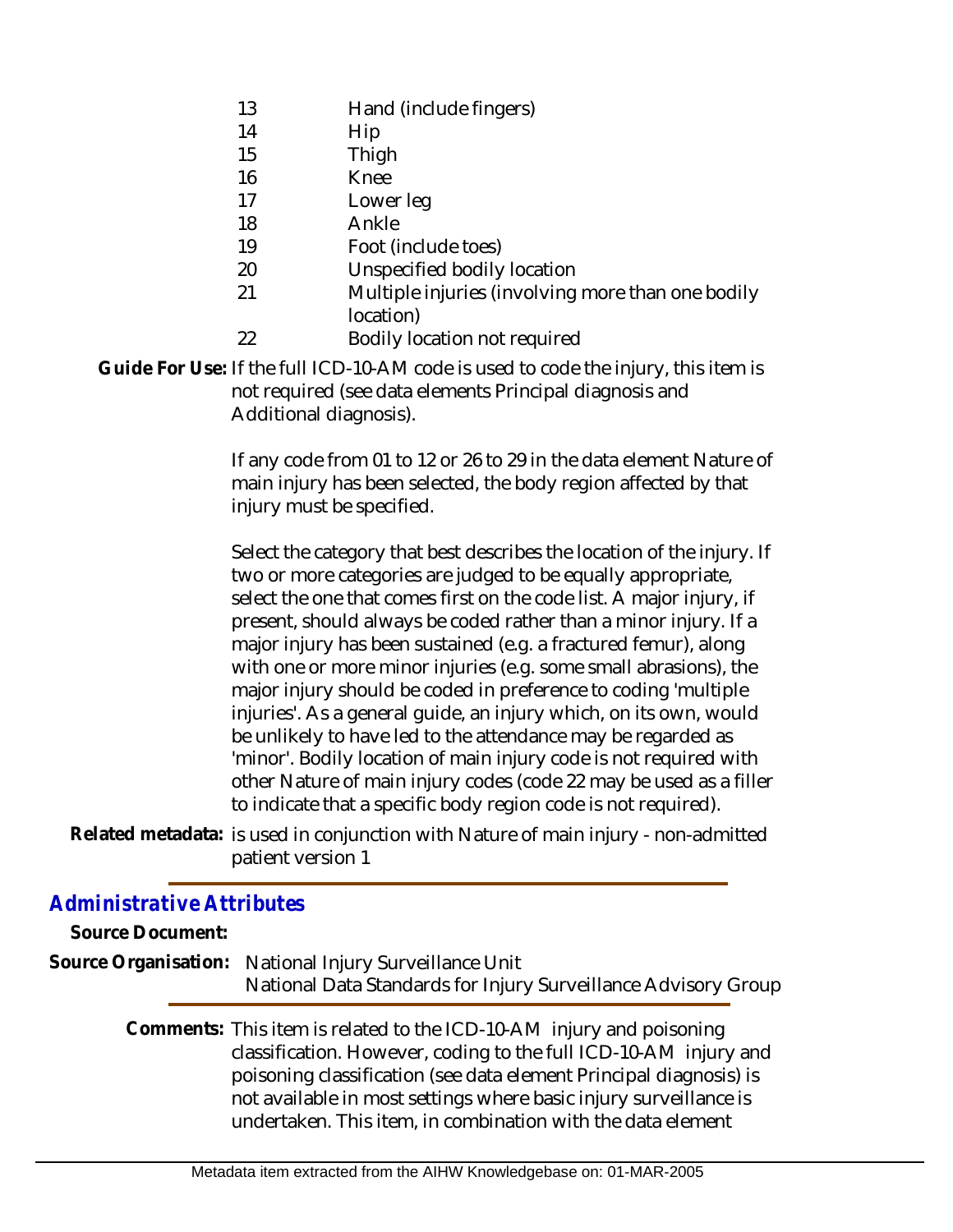- 13 Hand (include fingers)
- 14 Hip
- 15 Thigh
- 16 Knee
- 17 Lower leg
- 18 Ankle
- 19 Foot (include toes)
- 20 Unspecified bodily location
- 21 Multiple injuries (involving more than one bodily location)
- 22 Bodily location not required

Guide For Use: If the full ICD-10-AM code is used to code the injury, this item is not required (see data elements Principal diagnosis and Additional diagnosis).

> If any code from 01 to 12 or 26 to 29 in the data element Nature of main injury has been selected, the body region affected by that injury must be specified.

> Select the category that best describes the location of the injury. If two or more categories are judged to be equally appropriate, select the one that comes first on the code list. A major injury, if present, should always be coded rather than a minor injury. If a major injury has been sustained (e.g. a fractured femur), along with one or more minor injuries (e.g. some small abrasions), the major injury should be coded in preference to coding 'multiple injuries'. As a general guide, an injury which, on its own, would be unlikely to have led to the attendance may be regarded as 'minor'. Bodily location of main injury code is not required with other Nature of main injury codes (code 22 may be used as a filler to indicate that a specific body region code is not required).

Related metadata: is used in conjunction with Nature of main injury - non-admitted patient version 1

## *Administrative Attributes*

| Source Document: |                                                                                                                                                                                                                                                                                                                                                    |
|------------------|----------------------------------------------------------------------------------------------------------------------------------------------------------------------------------------------------------------------------------------------------------------------------------------------------------------------------------------------------|
|                  | Source Organisation: National Injury Surveillance Unit<br>National Data Standards for Injury Surveillance Advisory Group                                                                                                                                                                                                                           |
|                  | Comments: This item is related to the ICD-10-AM injury and poisoning<br>classification. However, coding to the full ICD-10-AM injury and<br>poisoning classification (see data element Principal diagnosis) is<br>not available in most settings where basic injury surveillance is<br>undertaken. This item, in combination with the data element |